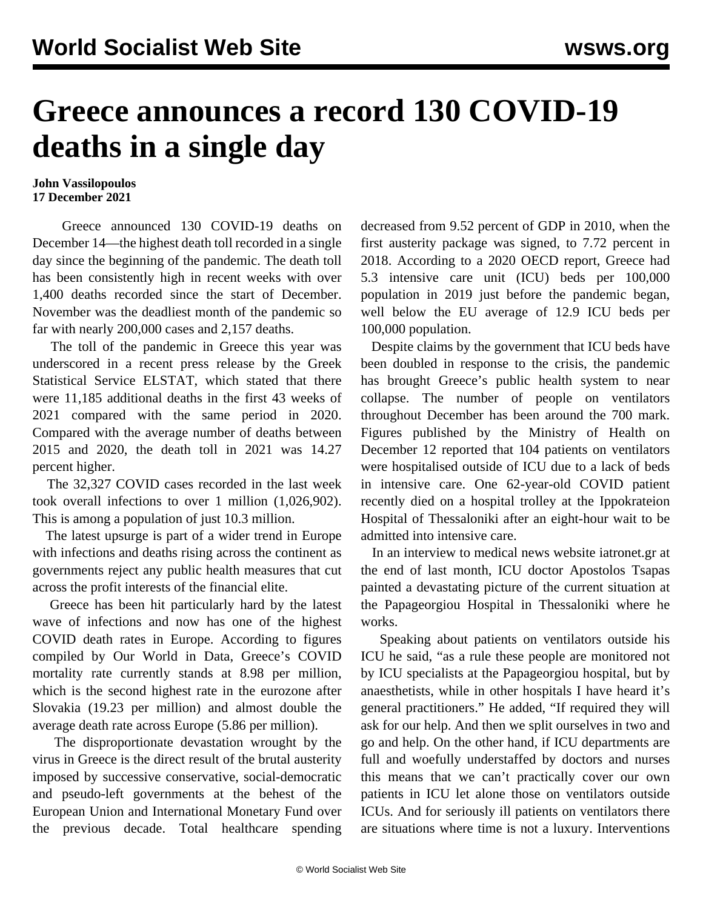## **Greece announces a record 130 COVID-19 deaths in a single day**

## **John Vassilopoulos 17 December 2021**

 Greece announced 130 COVID-19 deaths on December 14—the highest death toll recorded in a single day since the beginning of the pandemic. The death toll has been consistently high in recent weeks with over 1,400 deaths recorded since the start of December. November was the deadliest month of the pandemic so far with nearly 200,000 cases and 2,157 deaths.

 The toll of the pandemic in Greece this year was underscored in a recent press release by the Greek Statistical Service ELSTAT, which stated that there were 11,185 additional deaths in the first 43 weeks of 2021 compared with the same period in 2020. Compared with the average number of deaths between 2015 and 2020, the death toll in 2021 was 14.27 percent higher.

 The 32,327 COVID cases recorded in the last week took overall infections to over 1 million (1,026,902). This is among a population of just 10.3 million.

 The latest upsurge is part of a wider trend in Europe with infections and deaths rising across the continent as governments reject any public health measures that cut across the profit interests of the financial elite.

 Greece has been hit particularly hard by the latest wave of infections and now has one of the highest COVID death rates in Europe. According to figures compiled by Our World in Data, Greece's COVID mortality rate currently stands at 8.98 per million, which is the second highest rate in the eurozone after Slovakia (19.23 per million) and almost double the average death rate across Europe (5.86 per million).

 The disproportionate devastation wrought by the virus in Greece is the direct result of the brutal austerity imposed by successive conservative, social-democratic and pseudo-left governments at the behest of the European Union and International Monetary Fund over the previous decade. Total healthcare spending decreased from 9.52 percent of GDP in 2010, when the first austerity package was signed, to 7.72 percent in 2018. According to a 2020 OECD report, Greece had 5.3 intensive care unit (ICU) beds per 100,000 population in 2019 just before the pandemic began, well below the EU average of 12.9 ICU beds per 100,000 population.

 Despite claims by the government that ICU beds have been doubled in response to the crisis, the pandemic has brought Greece's public health system to near collapse. The number of people on ventilators throughout December has been around the 700 mark. Figures published by the Ministry of Health on December 12 reported that 104 patients on ventilators were hospitalised outside of ICU due to a lack of beds in intensive care. One 62-year-old COVID patient recently died on a hospital trolley at the Ippokrateion Hospital of Thessaloniki after an eight-hour wait to be admitted into intensive care.

 In an interview to medical news website iatronet.gr at the end of last month, ICU doctor Apostolos Tsapas painted a devastating picture of the current situation at the Papageorgiou Hospital in Thessaloniki where he works.

 Speaking about patients on ventilators outside his ICU he said, "as a rule these people are monitored not by ICU specialists at the Papageorgiou hospital, but by anaesthetists, while in other hospitals I have heard it's general practitioners." He added, "If required they will ask for our help. And then we split ourselves in two and go and help. On the other hand, if ICU departments are full and woefully understaffed by doctors and nurses this means that we can't practically cover our own patients in ICU let alone those on ventilators outside ICUs. And for seriously ill patients on ventilators there are situations where time is not a luxury. Interventions